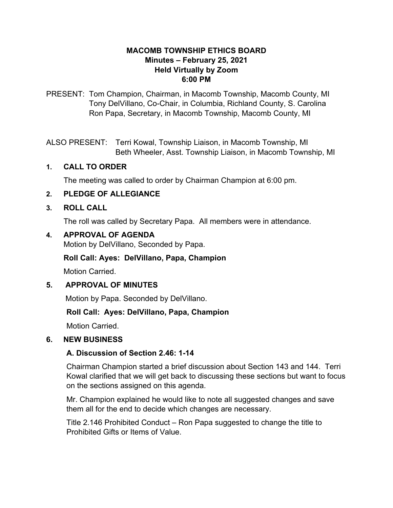### **MACOMB TOWNSHIP ETHICS BOARD Minutes – February 25, 2021 Held Virtually by Zoom 6:00 PM**

PRESENT: Tom Champion, Chairman, in Macomb Township, Macomb County, MI Tony DelVillano, Co-Chair, in Columbia, Richland County, S. Carolina Ron Papa, Secretary, in Macomb Township, Macomb County, MI

ALSO PRESENT: Terri Kowal, Township Liaison, in Macomb Township, MI Beth Wheeler, Asst. Township Liaison, in Macomb Township, MI

### **1. CALL TO ORDER**

The meeting was called to order by Chairman Champion at 6:00 pm.

### **2. PLEDGE OF ALLEGIANCE**

#### **3. ROLL CALL**

The roll was called by Secretary Papa. All members were in attendance.

### **4. APPROVAL OF AGENDA**

Motion by DelVillano, Seconded by Papa.

#### **Roll Call: Ayes: DelVillano, Papa, Champion**

Motion Carried.

#### **5. APPROVAL OF MINUTES**

Motion by Papa. Seconded by DelVillano.

### **Roll Call: Ayes: DelVillano, Papa, Champion**

Motion Carried.

#### **6. NEW BUSINESS**

#### **A. Discussion of Section 2.46: 1-14**

Chairman Champion started a brief discussion about Section 143 and 144. Terri Kowal clarified that we will get back to discussing these sections but want to focus on the sections assigned on this agenda.

 Mr. Champion explained he would like to note all suggested changes and save them all for the end to decide which changes are necessary.

Title 2.146 Prohibited Conduct – Ron Papa suggested to change the title to Prohibited Gifts or Items of Value.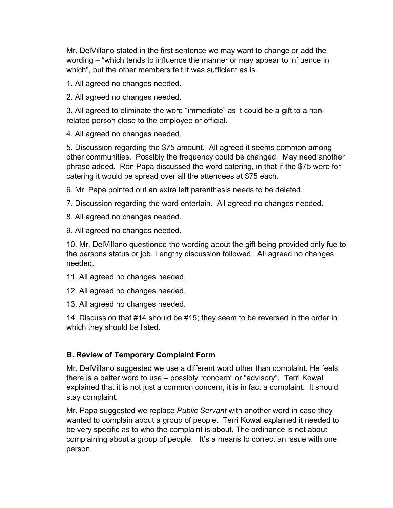Mr. DelVillano stated in the first sentence we may want to change or add the wording – "which tends to influence the manner or may appear to influence in which", but the other members felt it was sufficient as is.

1. All agreed no changes needed.

2. All agreed no changes needed.

 3. All agreed to eliminate the word "immediate" as it could be a gift to a nonrelated person close to the employee or official.

4. All agreed no changes needed.

 5. Discussion regarding the \$75 amount. All agreed it seems common among other communities. Possibly the frequency could be changed. May need another phrase added. Ron Papa discussed the word catering, in that if the \$75 were for catering it would be spread over all the attendees at \$75 each.

6. Mr. Papa pointed out an extra left parenthesis needs to be deleted.

7. Discussion regarding the word entertain. All agreed no changes needed.

8. All agreed no changes needed.

9. All agreed no changes needed.

 10. Mr. DelVillano questioned the wording about the gift being provided only fue to the persons status or job. Lengthy discussion followed. All agreed no changes needed.

11. All agreed no changes needed.

12. All agreed no changes needed.

13. All agreed no changes needed.

 14. Discussion that #14 should be #15; they seem to be reversed in the order in which they should be listed.

## **B. Review of Temporary Complaint Form**

Mr. DelVillano suggested we use a different word other than complaint. He feels there is a better word to use – possibly "concern" or "advisory". Terri Kowal explained that it is not just a common concern, it is in fact a complaint. It should stay complaint.

 Mr. Papa suggested we replace *Public Servant* with another word in case they wanted to complain about a group of people. Terri Kowal explained it needed to be very specific as to who the complaint is about. The ordinance is not about complaining about a group of people. It's a means to correct an issue with one person.